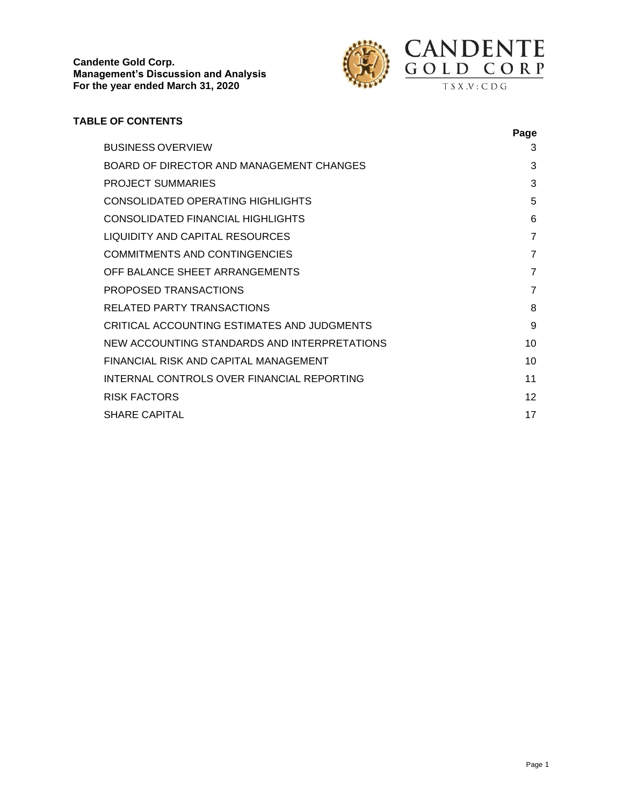

# **TABLE OF CONTENTS**

|                                              | Page           |
|----------------------------------------------|----------------|
| <b>BUSINESS OVERVIEW</b>                     | 3              |
| BOARD OF DIRECTOR AND MANAGEMENT CHANGES     | 3              |
| <b>PROJECT SUMMARIES</b>                     | 3              |
| CONSOLIDATED OPERATING HIGHLIGHTS            | 5              |
| CONSOLIDATED FINANCIAL HIGHLIGHTS            | 6              |
| LIQUIDITY AND CAPITAL RESOURCES              | 7              |
| <b>COMMITMENTS AND CONTINGENCIES</b>         | 7              |
| OFF BALANCE SHEET ARRANGEMENTS               | $\overline{7}$ |
| PROPOSED TRANSACTIONS                        | $\overline{7}$ |
| RELATED PARTY TRANSACTIONS                   | 8              |
| CRITICAL ACCOUNTING ESTIMATES AND JUDGMENTS  | 9              |
| NEW ACCOUNTING STANDARDS AND INTERPRETATIONS | 10             |
| FINANCIAL RISK AND CAPITAL MANAGEMENT        | 10             |
| INTERNAL CONTROLS OVER FINANCIAL REPORTING   | 11             |
| <b>RISK FACTORS</b>                          | 12             |
| <b>SHARE CAPITAL</b>                         | 17             |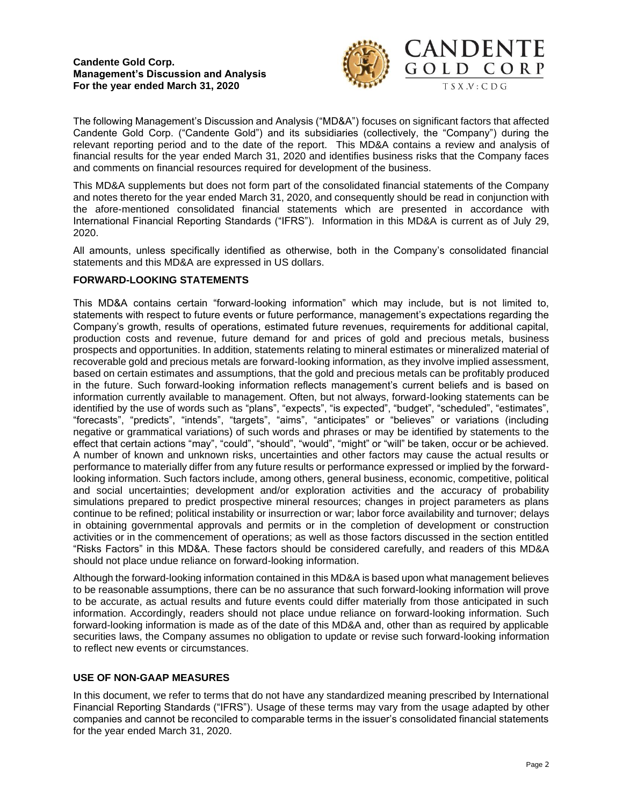

The following Management's Discussion and Analysis ("MD&A") focuses on significant factors that affected Candente Gold Corp. ("Candente Gold") and its subsidiaries (collectively, the "Company") during the relevant reporting period and to the date of the report. This MD&A contains a review and analysis of financial results for the year ended March 31, 2020 and identifies business risks that the Company faces and comments on financial resources required for development of the business.

This MD&A supplements but does not form part of the consolidated financial statements of the Company and notes thereto for the year ended March 31, 2020, and consequently should be read in conjunction with the afore-mentioned consolidated financial statements which are presented in accordance with International Financial Reporting Standards ("IFRS"). Information in this MD&A is current as of July 29, 2020.

All amounts, unless specifically identified as otherwise, both in the Company's consolidated financial statements and this MD&A are expressed in US dollars.

# **FORWARD-LOOKING STATEMENTS**

This MD&A contains certain "forward-looking information" which may include, but is not limited to, statements with respect to future events or future performance, management's expectations regarding the Company's growth, results of operations, estimated future revenues, requirements for additional capital, production costs and revenue, future demand for and prices of gold and precious metals, business prospects and opportunities. In addition, statements relating to mineral estimates or mineralized material of recoverable gold and precious metals are forward-looking information, as they involve implied assessment, based on certain estimates and assumptions, that the gold and precious metals can be profitably produced in the future. Such forward-looking information reflects management's current beliefs and is based on information currently available to management. Often, but not always, forward-looking statements can be identified by the use of words such as "plans", "expects", "is expected", "budget", "scheduled", "estimates", "forecasts", "predicts", "intends", "targets", "aims", "anticipates" or "believes" or variations (including negative or grammatical variations) of such words and phrases or may be identified by statements to the effect that certain actions "may", "could", "should", "would", "might" or "will" be taken, occur or be achieved. A number of known and unknown risks, uncertainties and other factors may cause the actual results or performance to materially differ from any future results or performance expressed or implied by the forwardlooking information. Such factors include, among others, general business, economic, competitive, political and social uncertainties; development and/or exploration activities and the accuracy of probability simulations prepared to predict prospective mineral resources; changes in project parameters as plans continue to be refined; political instability or insurrection or war; labor force availability and turnover; delays in obtaining governmental approvals and permits or in the completion of development or construction activities or in the commencement of operations; as well as those factors discussed in the section entitled "Risks Factors" in this MD&A. These factors should be considered carefully, and readers of this MD&A should not place undue reliance on forward-looking information.

Although the forward-looking information contained in this MD&A is based upon what management believes to be reasonable assumptions, there can be no assurance that such forward-looking information will prove to be accurate, as actual results and future events could differ materially from those anticipated in such information. Accordingly, readers should not place undue reliance on forward-looking information. Such forward-looking information is made as of the date of this MD&A and, other than as required by applicable securities laws, the Company assumes no obligation to update or revise such forward-looking information to reflect new events or circumstances.

### **USE OF NON-GAAP MEASURES**

In this document, we refer to terms that do not have any standardized meaning prescribed by International Financial Reporting Standards ("IFRS"). Usage of these terms may vary from the usage adapted by other companies and cannot be reconciled to comparable terms in the issuer's consolidated financial statements for the year ended March 31, 2020.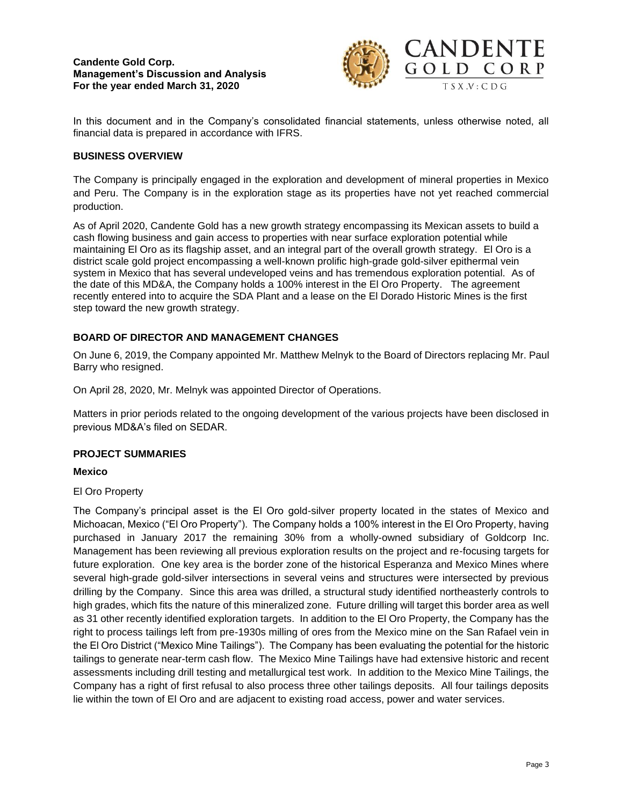

In this document and in the Company's consolidated financial statements, unless otherwise noted, all financial data is prepared in accordance with IFRS.

# **BUSINESS OVERVIEW**

The Company is principally engaged in the exploration and development of mineral properties in Mexico and Peru. The Company is in the exploration stage as its properties have not yet reached commercial production.

As of April 2020, Candente Gold has a new growth strategy encompassing its Mexican assets to build a cash flowing business and gain access to properties with near surface exploration potential while maintaining El Oro as its flagship asset, and an integral part of the overall growth strategy. El Oro is a district scale gold project encompassing a well-known prolific high-grade gold-silver epithermal vein system in Mexico that has several undeveloped veins and has tremendous exploration potential. As of the date of this MD&A, the Company holds a 100% interest in the El Oro Property. The agreement recently entered into to acquire the SDA Plant and a lease on the El Dorado Historic Mines is the first step toward the new growth strategy.

# **BOARD OF DIRECTOR AND MANAGEMENT CHANGES**

On June 6, 2019, the Company appointed Mr. Matthew Melnyk to the Board of Directors replacing Mr. Paul Barry who resigned.

On April 28, 2020, Mr. Melnyk was appointed Director of Operations.

Matters in prior periods related to the ongoing development of the various projects have been disclosed in previous MD&A's filed on SEDAR.

### **PROJECT SUMMARIES**

### **Mexico**

El Oro Property

The Company's principal asset is the El Oro gold-silver property located in the states of Mexico and Michoacan, Mexico ("El Oro Property"). The Company holds a 100% interest in the El Oro Property, having purchased in January 2017 the remaining 30% from a wholly-owned subsidiary of Goldcorp Inc. Management has been reviewing all previous exploration results on the project and re-focusing targets for future exploration. One key area is the border zone of the historical Esperanza and Mexico Mines where several high-grade gold-silver intersections in several veins and structures were intersected by previous drilling by the Company. Since this area was drilled, a structural study identified northeasterly controls to high grades, which fits the nature of this mineralized zone. Future drilling will target this border area as well as 31 other recently identified exploration targets. In addition to the El Oro Property, the Company has the right to process tailings left from pre-1930s milling of ores from the Mexico mine on the San Rafael vein in the El Oro District ("Mexico Mine Tailings"). The Company has been evaluating the potential for the historic tailings to generate near-term cash flow. The Mexico Mine Tailings have had extensive historic and recent assessments including drill testing and metallurgical test work. In addition to the Mexico Mine Tailings, the Company has a right of first refusal to also process three other tailings deposits. All four tailings deposits lie within the town of El Oro and are adjacent to existing road access, power and water services.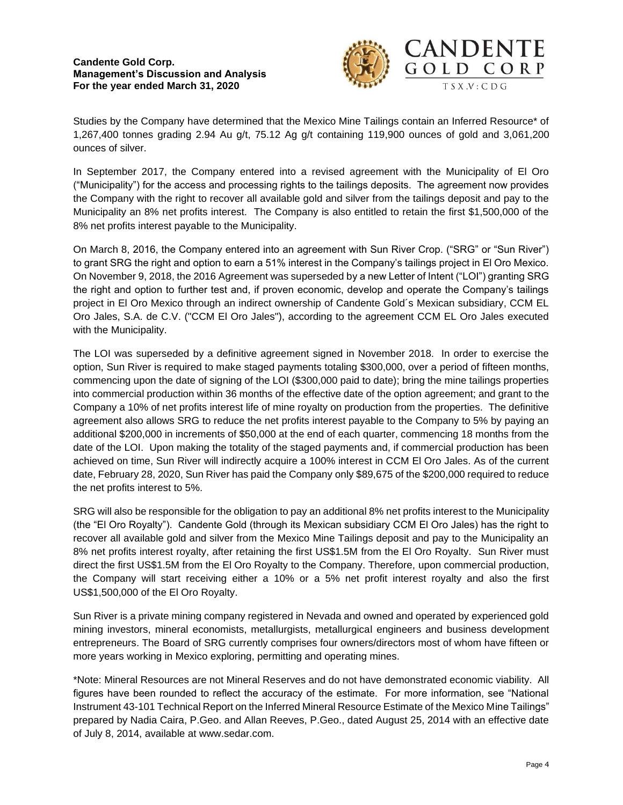

Studies by the Company have determined that the Mexico Mine Tailings contain an Inferred Resource\* of 1,267,400 tonnes grading 2.94 Au g/t, 75.12 Ag g/t containing 119,900 ounces of gold and 3,061,200 ounces of silver.

In September 2017, the Company entered into a revised agreement with the Municipality of El Oro ("Municipality") for the access and processing rights to the tailings deposits. The agreement now provides the Company with the right to recover all available gold and silver from the tailings deposit and pay to the Municipality an 8% net profits interest. The Company is also entitled to retain the first \$1,500,000 of the 8% net profits interest payable to the Municipality.

On March 8, 2016, the Company entered into an agreement with Sun River Crop. ("SRG" or "Sun River") to grant SRG the right and option to earn a 51% interest in the Company's tailings project in El Oro Mexico. On November 9, 2018, the 2016 Agreement was superseded by a new Letter of Intent ("LOI") granting SRG the right and option to further test and, if proven economic, develop and operate the Company's tailings project in El Oro Mexico through an indirect ownership of Candente Gold´s Mexican subsidiary, CCM EL Oro Jales, S.A. de C.V. ("CCM El Oro Jales"), according to the agreement CCM EL Oro Jales executed with the Municipality.

The LOI was superseded by a definitive agreement signed in November 2018. In order to exercise the option, Sun River is required to make staged payments totaling \$300,000, over a period of fifteen months, commencing upon the date of signing of the LOI (\$300,000 paid to date); bring the mine tailings properties into commercial production within 36 months of the effective date of the option agreement; and grant to the Company a 10% of net profits interest life of mine royalty on production from the properties. The definitive agreement also allows SRG to reduce the net profits interest payable to the Company to 5% by paying an additional \$200,000 in increments of \$50,000 at the end of each quarter, commencing 18 months from the date of the LOI. Upon making the totality of the staged payments and, if commercial production has been achieved on time, Sun River will indirectly acquire a 100% interest in CCM El Oro Jales. As of the current date, February 28, 2020, Sun River has paid the Company only \$89,675 of the \$200,000 required to reduce the net profits interest to 5%.

SRG will also be responsible for the obligation to pay an additional 8% net profits interest to the Municipality (the "El Oro Royalty"). Candente Gold (through its Mexican subsidiary CCM El Oro Jales) has the right to recover all available gold and silver from the Mexico Mine Tailings deposit and pay to the Municipality an 8% net profits interest royalty, after retaining the first US\$1.5M from the El Oro Royalty. Sun River must direct the first US\$1.5M from the El Oro Royalty to the Company. Therefore, upon commercial production, the Company will start receiving either a 10% or a 5% net profit interest royalty and also the first US\$1,500,000 of the El Oro Royalty.

Sun River is a private mining company registered in Nevada and owned and operated by experienced gold mining investors, mineral economists, metallurgists, metallurgical engineers and business development entrepreneurs. The Board of SRG currently comprises four owners/directors most of whom have fifteen or more years working in Mexico exploring, permitting and operating mines.

\*Note: Mineral Resources are not Mineral Reserves and do not have demonstrated economic viability. All figures have been rounded to reflect the accuracy of the estimate. For more information, see "National Instrument 43-101 Technical Report on the Inferred Mineral Resource Estimate of the Mexico Mine Tailings" prepared by Nadia Caira, P.Geo. and Allan Reeves, P.Geo., dated August 25, 2014 with an effective date of July 8, 2014, available at www.sedar.com.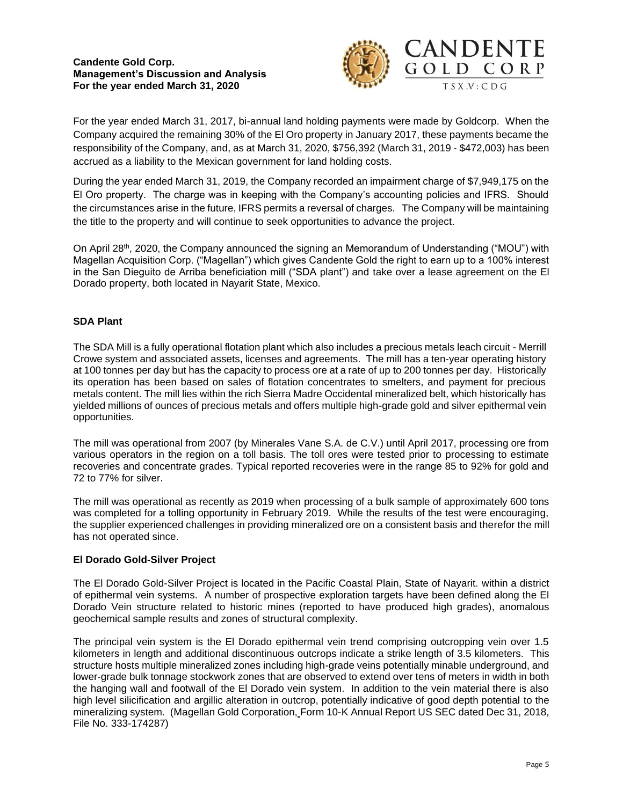

For the year ended March 31, 2017, bi-annual land holding payments were made by Goldcorp. When the Company acquired the remaining 30% of the El Oro property in January 2017, these payments became the responsibility of the Company, and, as at March 31, 2020, \$756,392 (March 31, 2019 - \$472,003) has been accrued as a liability to the Mexican government for land holding costs.

During the year ended March 31, 2019, the Company recorded an impairment charge of \$7,949,175 on the El Oro property. The charge was in keeping with the Company's accounting policies and IFRS. Should the circumstances arise in the future, IFRS permits a reversal of charges. The Company will be maintaining the title to the property and will continue to seek opportunities to advance the project.

On April 28th, 2020, the Company announced the signing an Memorandum of Understanding ("MOU") with Magellan Acquisition Corp. ("Magellan") which gives Candente Gold the right to earn up to a 100% interest in the San Dieguito de Arriba beneficiation mill ("SDA plant") and take over a lease agreement on the El Dorado property, both located in Nayarit State, Mexico.

# **SDA Plant**

The SDA Mill is a fully operational flotation plant which also includes a precious metals leach circuit - Merrill Crowe system and associated assets, licenses and agreements. The mill has a ten-year operating history at 100 tonnes per day but has the capacity to process ore at a rate of up to 200 tonnes per day. Historically its operation has been based on sales of flotation concentrates to smelters, and payment for precious metals content. The mill lies within the rich Sierra Madre Occidental mineralized belt, which historically has yielded millions of ounces of precious metals and offers multiple high-grade gold and silver epithermal vein opportunities.

The mill was operational from 2007 (by Minerales Vane S.A. de C.V.) until April 2017, processing ore from various operators in the region on a toll basis. The toll ores were tested prior to processing to estimate recoveries and concentrate grades. Typical reported recoveries were in the range 85 to 92% for gold and 72 to 77% for silver.

The mill was operational as recently as 2019 when processing of a bulk sample of approximately 600 tons was completed for a tolling opportunity in February 2019. While the results of the test were encouraging, the supplier experienced challenges in providing mineralized ore on a consistent basis and therefor the mill has not operated since.

# **El Dorado Gold-Silver Project**

The El Dorado Gold-Silver Project is located in the Pacific Coastal Plain, State of Nayarit. within a district of epithermal vein systems. A number of prospective exploration targets have been defined along the El Dorado Vein structure related to historic mines (reported to have produced high grades), anomalous geochemical sample results and zones of structural complexity.

The principal vein system is the El Dorado epithermal vein trend comprising outcropping vein over 1.5 kilometers in length and additional discontinuous outcrops indicate a strike length of 3.5 kilometers. This structure hosts multiple mineralized zones including high-grade veins potentially minable underground, and lower-grade bulk tonnage stockwork zones that are observed to extend over tens of meters in width in both the hanging wall and footwall of the El Dorado vein system. In addition to the vein material there is also high level silicification and argillic alteration in outcrop, potentially indicative of good depth potential to the mineralizing system. (Magellan Gold Corporation, Form 10-K Annual Report US SEC dated Dec 31, 2018, File No. 333-174287)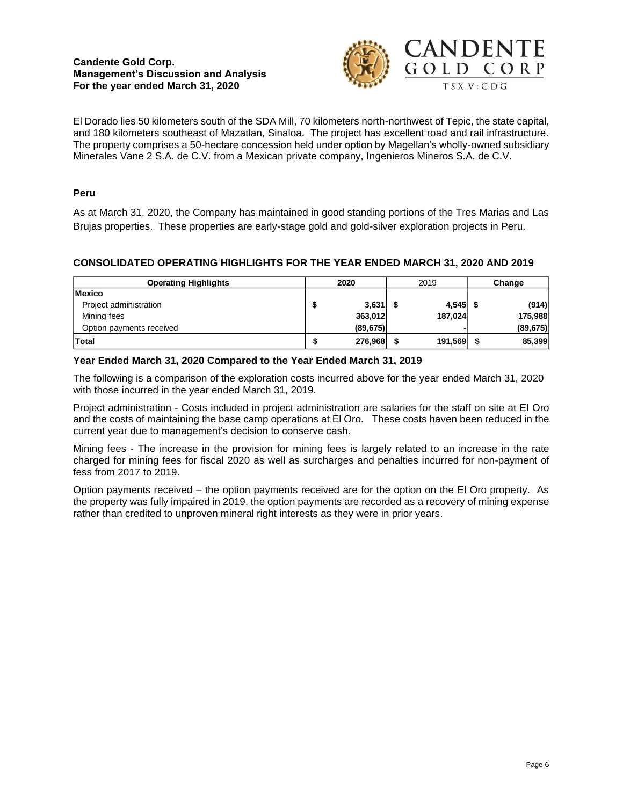

El Dorado lies 50 kilometers south of the SDA Mill, 70 kilometers north-northwest of Tepic, the state capital, and 180 kilometers southeast of Mazatlan, Sinaloa. The project has excellent road and rail infrastructure. The property comprises a 50-hectare concession held under option by Magellan's wholly-owned subsidiary Minerales Vane 2 S.A. de C.V. from a Mexican private company, Ingenieros Mineros S.A. de C.V.

## **Peru**

As at March 31, 2020, the Company has maintained in good standing portions of the Tres Marias and Las Brujas properties. These properties are early-stage gold and gold-silver exploration projects in Peru.

# **CONSOLIDATED OPERATING HIGHLIGHTS FOR THE YEAR ENDED MARCH 31, 2020 AND 2019**

| <b>Operating Highlights</b> |   | 2020<br>2019 |  |         | Change |           |  |
|-----------------------------|---|--------------|--|---------|--------|-----------|--|
| <b>Mexico</b>               |   |              |  |         |        |           |  |
| Project administration      |   | $3,631$ \$   |  | 4,545   |        | (914)     |  |
| Mining fees                 |   | 363.012      |  | 187,024 |        | 175,988   |  |
| Option payments received    |   | (89, 675)    |  |         |        | (89, 675) |  |
| <b>Total</b>                | Ð | 276,968      |  | 191,569 |        | 85,399    |  |

## **Year Ended March 31, 2020 Compared to the Year Ended March 31, 2019**

The following is a comparison of the exploration costs incurred above for the year ended March 31, 2020 with those incurred in the year ended March 31, 2019.

Project administration - Costs included in project administration are salaries for the staff on site at El Oro and the costs of maintaining the base camp operations at El Oro. These costs haven been reduced in the current year due to management's decision to conserve cash.

Mining fees - The increase in the provision for mining fees is largely related to an increase in the rate charged for mining fees for fiscal 2020 as well as surcharges and penalties incurred for non-payment of fess from 2017 to 2019.

Option payments received – the option payments received are for the option on the El Oro property. As the property was fully impaired in 2019, the option payments are recorded as a recovery of mining expense rather than credited to unproven mineral right interests as they were in prior years.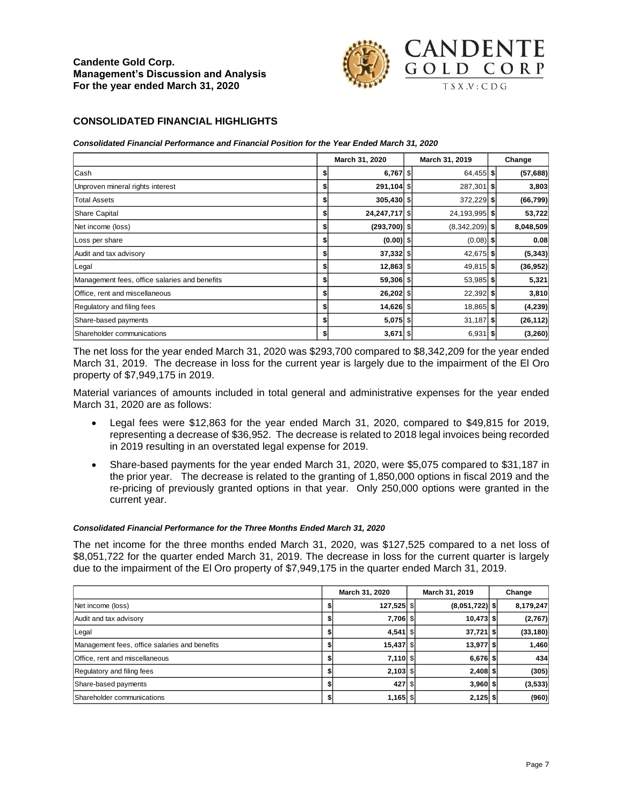

### **CONSOLIDATED FINANCIAL HIGHLIGHTS**

*Consolidated Financial Performance and Financial Position for the Year Ended March 31, 2020*

|                                               |    | March 31, 2020 | March 31, 2019   | Change    |
|-----------------------------------------------|----|----------------|------------------|-----------|
| Cash                                          | S  | $6,767$ \$     | 64,455 \$        | (57, 688) |
| Unproven mineral rights interest              |    | 291,104 \$     | 287,301 \$       | 3,803     |
| <b>Total Assets</b>                           | S  | 305,430 \$     | 372,229 \$       | (66, 799) |
| <b>Share Capital</b>                          | \$ | 24,247,717 \$  | 24,193,995 \$    | 53,722    |
| Net income (loss)                             |    | $(293,700)$ \$ | $(8,342,209)$ \$ | 8,048,509 |
| Loss per share                                | \$ | $(0.00)$ \$    | $(0.08)$ \$      | 0.08      |
| Audit and tax advisory                        | \$ | 37,332 \$      | 42,675 \$        | (5, 343)  |
| Legal                                         |    | 12,863 \$      | 49,815 \$        | (36, 952) |
| Management fees, office salaries and benefits | \$ | 59,306 \$      | 53,985 \$        | 5,321     |
| Office, rent and miscellaneous                | \$ | 26,202 \$      | $22,392$ \$      | 3,810     |
| Regulatory and filing fees                    |    | 14,626 \$      | 18,865 \$        | (4, 239)  |
| Share-based payments                          | \$ | $5,075$ \$     | $31,187$ \$      | (26, 112) |
| Shareholder communications                    | S  | $3,671$ \$     | $6,931$ \$       | (3, 260)  |

The net loss for the year ended March 31, 2020 was \$293,700 compared to \$8,342,209 for the year ended March 31, 2019. The decrease in loss for the current year is largely due to the impairment of the El Oro property of \$7,949,175 in 2019.

Material variances of amounts included in total general and administrative expenses for the year ended March 31, 2020 are as follows:

- Legal fees were \$12,863 for the year ended March 31, 2020, compared to \$49,815 for 2019, representing a decrease of \$36,952. The decrease is related to 2018 legal invoices being recorded in 2019 resulting in an overstated legal expense for 2019.
- Share-based payments for the year ended March 31, 2020, were \$5,075 compared to \$31,187 in the prior year. The decrease is related to the granting of 1,850,000 options in fiscal 2019 and the re-pricing of previously granted options in that year. Only 250,000 options were granted in the current year.

#### *Consolidated Financial Performance for the Three Months Ended March 31, 2020*

The net income for the three months ended March 31, 2020, was \$127,525 compared to a net loss of \$8,051,722 for the quarter ended March 31, 2019. The decrease in loss for the current quarter is largely due to the impairment of the El Oro property of \$7,949,175 in the quarter ended March 31, 2019.

|                                               | March 31, 2020<br>March 31, 2019 |  |                  | Change |           |  |
|-----------------------------------------------|----------------------------------|--|------------------|--------|-----------|--|
| Net income (loss)                             | 127,525 \$                       |  | $(8,051,722)$ \$ |        | 8,179,247 |  |
| Audit and tax advisory                        | 7,706 \$                         |  | $10,473$ \$      |        | (2,767)   |  |
| Legal                                         | $4,541$ \$                       |  | $37,721$ \$      |        | (33, 180) |  |
| Management fees, office salaries and benefits | 15,437 \$                        |  | 13,977 \$        |        | 1,460     |  |
| Office, rent and miscellaneous                | $7,110$ \$                       |  | $6,676$ \$       |        | 434       |  |
| Regulatory and filing fees                    | $2,103$ \$                       |  | $2,408$ \$       |        | (305)     |  |
| Share-based payments                          | 427 \$                           |  | $3,960$ \$       |        | (3,533)   |  |
| Shareholder communications                    | $1,165$ \$                       |  | $2,125$ \$       |        | (960)     |  |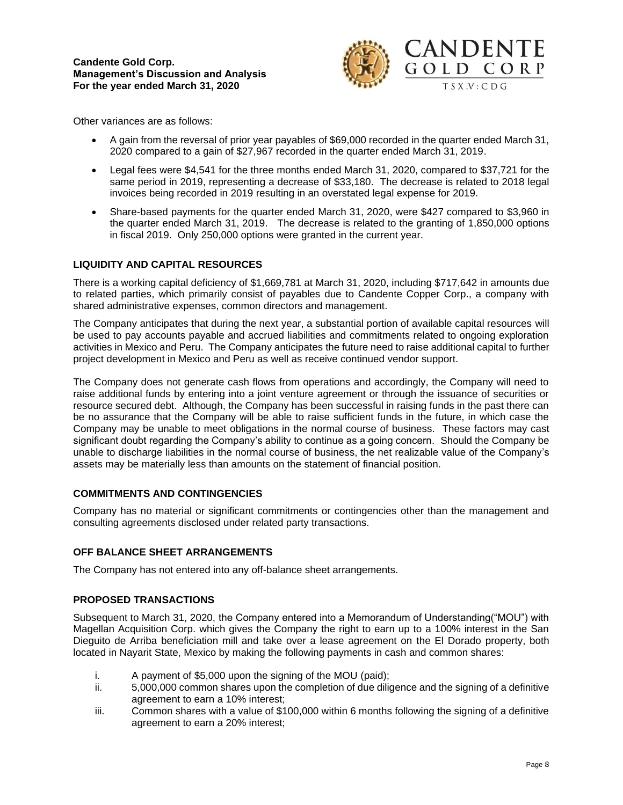

Other variances are as follows:

- A gain from the reversal of prior year payables of \$69,000 recorded in the quarter ended March 31, 2020 compared to a gain of \$27,967 recorded in the quarter ended March 31, 2019.
- Legal fees were \$4,541 for the three months ended March 31, 2020, compared to \$37,721 for the same period in 2019, representing a decrease of \$33,180. The decrease is related to 2018 legal invoices being recorded in 2019 resulting in an overstated legal expense for 2019.
- Share-based payments for the quarter ended March 31, 2020, were \$427 compared to \$3,960 in the quarter ended March 31, 2019. The decrease is related to the granting of 1,850,000 options in fiscal 2019. Only 250,000 options were granted in the current year.

# **LIQUIDITY AND CAPITAL RESOURCES**

There is a working capital deficiency of \$1,669,781 at March 31, 2020, including \$717,642 in amounts due to related parties, which primarily consist of payables due to Candente Copper Corp., a company with shared administrative expenses, common directors and management.

The Company anticipates that during the next year, a substantial portion of available capital resources will be used to pay accounts payable and accrued liabilities and commitments related to ongoing exploration activities in Mexico and Peru. The Company anticipates the future need to raise additional capital to further project development in Mexico and Peru as well as receive continued vendor support.

The Company does not generate cash flows from operations and accordingly, the Company will need to raise additional funds by entering into a joint venture agreement or through the issuance of securities or resource secured debt. Although, the Company has been successful in raising funds in the past there can be no assurance that the Company will be able to raise sufficient funds in the future, in which case the Company may be unable to meet obligations in the normal course of business. These factors may cast significant doubt regarding the Company's ability to continue as a going concern. Should the Company be unable to discharge liabilities in the normal course of business, the net realizable value of the Company's assets may be materially less than amounts on the statement of financial position.

### **COMMITMENTS AND CONTINGENCIES**

Company has no material or significant commitments or contingencies other than the management and consulting agreements disclosed under related party transactions.

### **OFF BALANCE SHEET ARRANGEMENTS**

The Company has not entered into any off-balance sheet arrangements.

# **PROPOSED TRANSACTIONS**

Subsequent to March 31, 2020, the Company entered into a Memorandum of Understanding("MOU") with Magellan Acquisition Corp. which gives the Company the right to earn up to a 100% interest in the San Dieguito de Arriba beneficiation mill and take over a lease agreement on the El Dorado property, both located in Nayarit State, Mexico by making the following payments in cash and common shares:

- i. A payment of \$5,000 upon the signing of the MOU (paid);
- ii. 5,000,000 common shares upon the completion of due diligence and the signing of a definitive agreement to earn a 10% interest;
- iii. Common shares with a value of \$100,000 within 6 months following the signing of a definitive agreement to earn a 20% interest;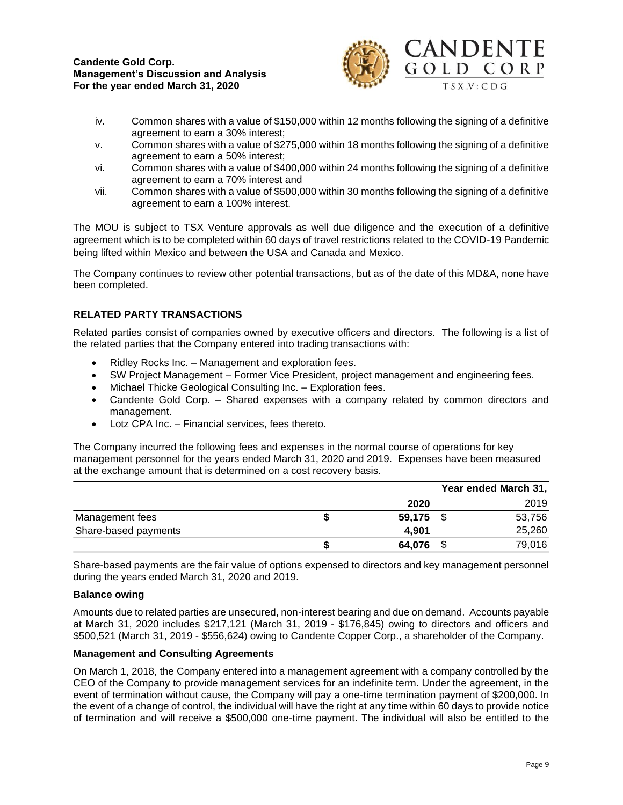

- iv. Common shares with a value of \$150,000 within 12 months following the signing of a definitive agreement to earn a 30% interest;
- v. Common shares with a value of \$275,000 within 18 months following the signing of a definitive agreement to earn a 50% interest;
- vi. Common shares with a value of \$400,000 within 24 months following the signing of a definitive agreement to earn a 70% interest and
- vii. Common shares with a value of \$500,000 within 30 months following the signing of a definitive agreement to earn a 100% interest.

The MOU is subject to TSX Venture approvals as well due diligence and the execution of a definitive agreement which is to be completed within 60 days of travel restrictions related to the COVID-19 Pandemic being lifted within Mexico and between the USA and Canada and Mexico.

The Company continues to review other potential transactions, but as of the date of this MD&A, none have been completed.

# **RELATED PARTY TRANSACTIONS**

Related parties consist of companies owned by executive officers and directors. The following is a list of the related parties that the Company entered into trading transactions with:

- Ridley Rocks Inc. Management and exploration fees.
- SW Project Management Former Vice President, project management and engineering fees.
- Michael Thicke Geological Consulting Inc. Exploration fees.
- Candente Gold Corp. Shared expenses with a company related by common directors and management.
- Lotz CPA Inc. Financial services, fees thereto.

The Company incurred the following fees and expenses in the normal course of operations for key management personnel for the years ended March 31, 2020 and 2019. Expenses have been measured at the exchange amount that is determined on a cost recovery basis.

|                      |        | Year ended March 31, |
|----------------------|--------|----------------------|
|                      | 2020   | 2019                 |
| Management fees      | 59,175 | 53,756               |
| Share-based payments | 4.901  | 25,260               |
|                      | 64,076 | 79,016               |

Share-based payments are the fair value of options expensed to directors and key management personnel during the years ended March 31, 2020 and 2019.

### **Balance owing**

Amounts due to related parties are unsecured, non-interest bearing and due on demand. Accounts payable at March 31, 2020 includes \$217,121 (March 31, 2019 - \$176,845) owing to directors and officers and \$500,521 (March 31, 2019 - \$556,624) owing to Candente Copper Corp., a shareholder of the Company.

### **Management and Consulting Agreements**

On March 1, 2018, the Company entered into a management agreement with a company controlled by the CEO of the Company to provide management services for an indefinite term. Under the agreement, in the event of termination without cause, the Company will pay a one-time termination payment of \$200,000. In the event of a change of control, the individual will have the right at any time within 60 days to provide notice of termination and will receive a \$500,000 one-time payment. The individual will also be entitled to the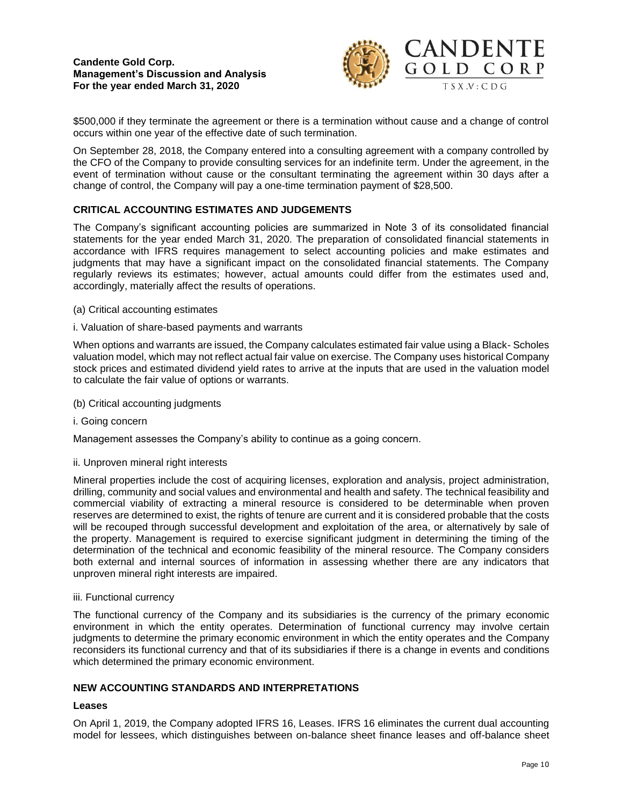

\$500,000 if they terminate the agreement or there is a termination without cause and a change of control occurs within one year of the effective date of such termination.

On September 28, 2018, the Company entered into a consulting agreement with a company controlled by the CFO of the Company to provide consulting services for an indefinite term. Under the agreement, in the event of termination without cause or the consultant terminating the agreement within 30 days after a change of control, the Company will pay a one-time termination payment of \$28,500.

## **CRITICAL ACCOUNTING ESTIMATES AND JUDGEMENTS**

The Company's significant accounting policies are summarized in Note 3 of its consolidated financial statements for the year ended March 31, 2020. The preparation of consolidated financial statements in accordance with IFRS requires management to select accounting policies and make estimates and judgments that may have a significant impact on the consolidated financial statements. The Company regularly reviews its estimates; however, actual amounts could differ from the estimates used and, accordingly, materially affect the results of operations.

- (a) Critical accounting estimates
- i. Valuation of share-based payments and warrants

When options and warrants are issued, the Company calculates estimated fair value using a Black- Scholes valuation model, which may not reflect actual fair value on exercise. The Company uses historical Company stock prices and estimated dividend yield rates to arrive at the inputs that are used in the valuation model to calculate the fair value of options or warrants.

- (b) Critical accounting judgments
- i. Going concern

Management assesses the Company's ability to continue as a going concern.

#### ii. Unproven mineral right interests

Mineral properties include the cost of acquiring licenses, exploration and analysis, project administration, drilling, community and social values and environmental and health and safety. The technical feasibility and commercial viability of extracting a mineral resource is considered to be determinable when proven reserves are determined to exist, the rights of tenure are current and it is considered probable that the costs will be recouped through successful development and exploitation of the area, or alternatively by sale of the property. Management is required to exercise significant judgment in determining the timing of the determination of the technical and economic feasibility of the mineral resource. The Company considers both external and internal sources of information in assessing whether there are any indicators that unproven mineral right interests are impaired.

#### iii. Functional currency

The functional currency of the Company and its subsidiaries is the currency of the primary economic environment in which the entity operates. Determination of functional currency may involve certain judgments to determine the primary economic environment in which the entity operates and the Company reconsiders its functional currency and that of its subsidiaries if there is a change in events and conditions which determined the primary economic environment.

# **NEW ACCOUNTING STANDARDS AND INTERPRETATIONS**

#### **Leases**

On April 1, 2019, the Company adopted IFRS 16, Leases. IFRS 16 eliminates the current dual accounting model for lessees, which distinguishes between on-balance sheet finance leases and off-balance sheet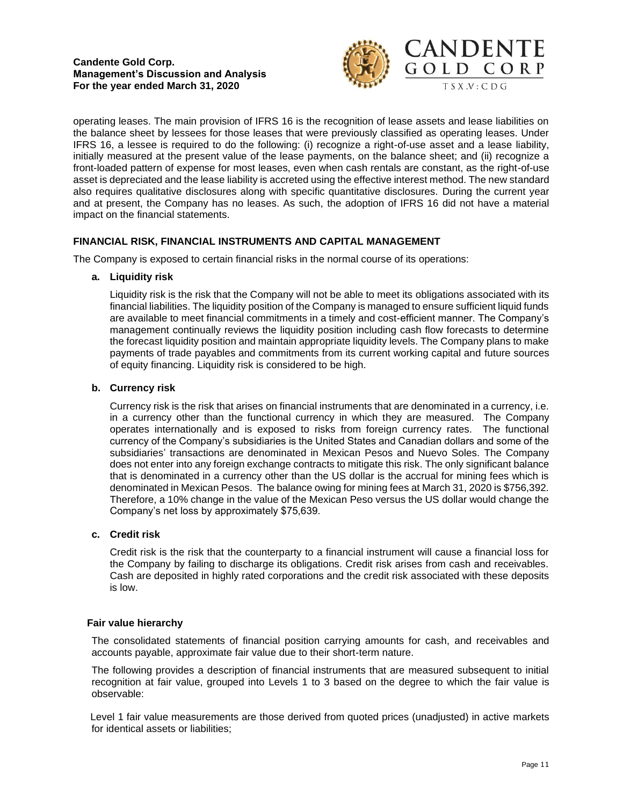

operating leases. The main provision of IFRS 16 is the recognition of lease assets and lease liabilities on the balance sheet by lessees for those leases that were previously classified as operating leases. Under IFRS 16, a lessee is required to do the following: (i) recognize a right-of-use asset and a lease liability, initially measured at the present value of the lease payments, on the balance sheet; and (ii) recognize a front-loaded pattern of expense for most leases, even when cash rentals are constant, as the right-of-use asset is depreciated and the lease liability is accreted using the effective interest method. The new standard also requires qualitative disclosures along with specific quantitative disclosures. During the current year and at present, the Company has no leases. As such, the adoption of IFRS 16 did not have a material impact on the financial statements.

## **FINANCIAL RISK, FINANCIAL INSTRUMENTS AND CAPITAL MANAGEMENT**

The Company is exposed to certain financial risks in the normal course of its operations:

### **a. Liquidity risk**

Liquidity risk is the risk that the Company will not be able to meet its obligations associated with its financial liabilities. The liquidity position of the Company is managed to ensure sufficient liquid funds are available to meet financial commitments in a timely and cost-efficient manner. The Company's management continually reviews the liquidity position including cash flow forecasts to determine the forecast liquidity position and maintain appropriate liquidity levels. The Company plans to make payments of trade payables and commitments from its current working capital and future sources of equity financing. Liquidity risk is considered to be high.

### **b. Currency risk**

Currency risk is the risk that arises on financial instruments that are denominated in a currency, i.e. in a currency other than the functional currency in which they are measured. The Company operates internationally and is exposed to risks from foreign currency rates. The functional currency of the Company's subsidiaries is the United States and Canadian dollars and some of the subsidiaries' transactions are denominated in Mexican Pesos and Nuevo Soles. The Company does not enter into any foreign exchange contracts to mitigate this risk. The only significant balance that is denominated in a currency other than the US dollar is the accrual for mining fees which is denominated in Mexican Pesos. The balance owing for mining fees at March 31, 2020 is \$756,392. Therefore, a 10% change in the value of the Mexican Peso versus the US dollar would change the Company's net loss by approximately \$75,639.

## **c. Credit risk**

Credit risk is the risk that the counterparty to a financial instrument will cause a financial loss for the Company by failing to discharge its obligations. Credit risk arises from cash and receivables. Cash are deposited in highly rated corporations and the credit risk associated with these deposits is low.

### **Fair value hierarchy**

The consolidated statements of financial position carrying amounts for cash, and receivables and accounts payable, approximate fair value due to their short-term nature.

The following provides a description of financial instruments that are measured subsequent to initial recognition at fair value, grouped into Levels 1 to 3 based on the degree to which the fair value is observable:

Level 1 fair value measurements are those derived from quoted prices (unadjusted) in active markets for identical assets or liabilities;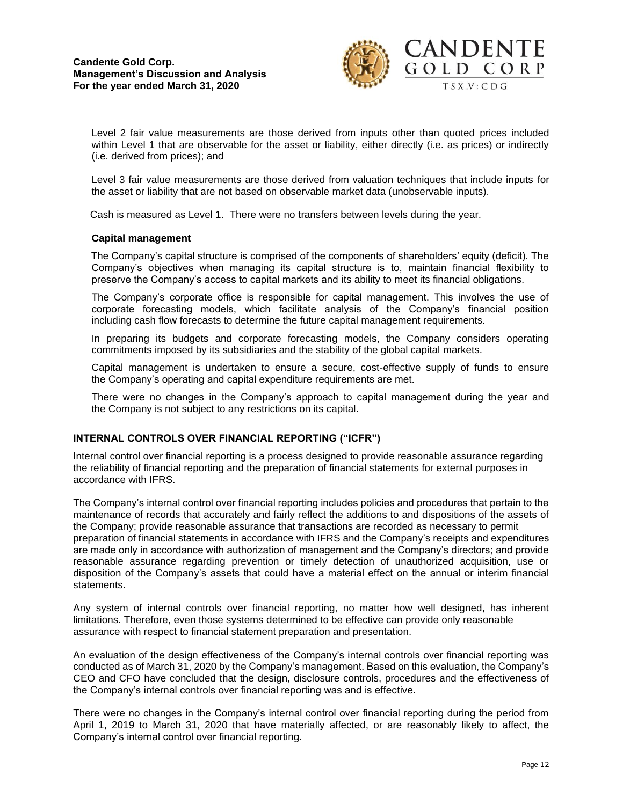

Level 2 fair value measurements are those derived from inputs other than quoted prices included within Level 1 that are observable for the asset or liability, either directly (i.e. as prices) or indirectly (i.e. derived from prices); and

Level 3 fair value measurements are those derived from valuation techniques that include inputs for the asset or liability that are not based on observable market data (unobservable inputs).

Cash is measured as Level 1. There were no transfers between levels during the year.

### **Capital management**

The Company's capital structure is comprised of the components of shareholders' equity (deficit). The Company's objectives when managing its capital structure is to, maintain financial flexibility to preserve the Company's access to capital markets and its ability to meet its financial obligations.

The Company's corporate office is responsible for capital management. This involves the use of corporate forecasting models, which facilitate analysis of the Company's financial position including cash flow forecasts to determine the future capital management requirements.

In preparing its budgets and corporate forecasting models, the Company considers operating commitments imposed by its subsidiaries and the stability of the global capital markets.

Capital management is undertaken to ensure a secure, cost-effective supply of funds to ensure the Company's operating and capital expenditure requirements are met.

There were no changes in the Company's approach to capital management during the year and the Company is not subject to any restrictions on its capital.

### **INTERNAL CONTROLS OVER FINANCIAL REPORTING ("ICFR")**

Internal control over financial reporting is a process designed to provide reasonable assurance regarding the reliability of financial reporting and the preparation of financial statements for external purposes in accordance with IFRS.

The Company's internal control over financial reporting includes policies and procedures that pertain to the maintenance of records that accurately and fairly reflect the additions to and dispositions of the assets of the Company; provide reasonable assurance that transactions are recorded as necessary to permit preparation of financial statements in accordance with IFRS and the Company's receipts and expenditures are made only in accordance with authorization of management and the Company's directors; and provide reasonable assurance regarding prevention or timely detection of unauthorized acquisition, use or disposition of the Company's assets that could have a material effect on the annual or interim financial statements.

Any system of internal controls over financial reporting, no matter how well designed, has inherent limitations. Therefore, even those systems determined to be effective can provide only reasonable assurance with respect to financial statement preparation and presentation.

An evaluation of the design effectiveness of the Company's internal controls over financial reporting was conducted as of March 31, 2020 by the Company's management. Based on this evaluation, the Company's CEO and CFO have concluded that the design, disclosure controls, procedures and the effectiveness of the Company's internal controls over financial reporting was and is effective.

There were no changes in the Company's internal control over financial reporting during the period from April 1, 2019 to March 31, 2020 that have materially affected, or are reasonably likely to affect, the Company's internal control over financial reporting.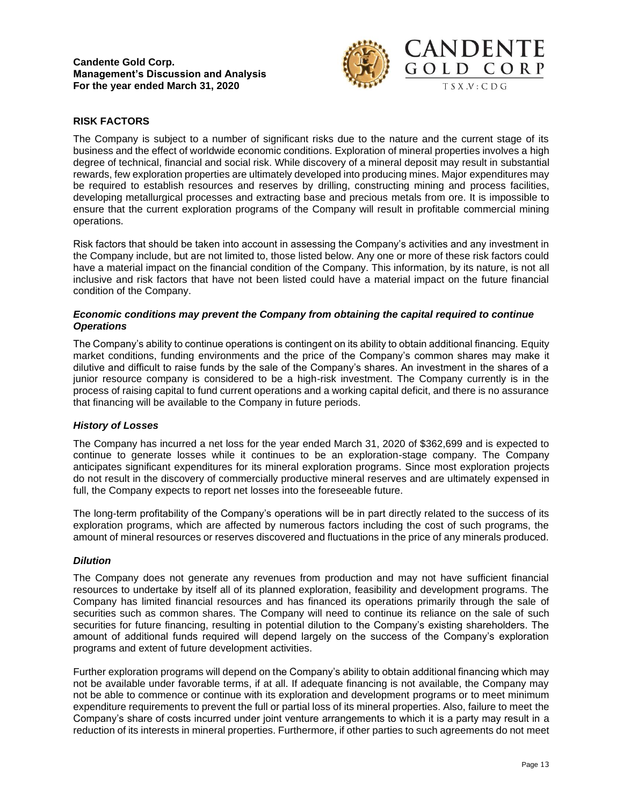

## **RISK FACTORS**

The Company is subject to a number of significant risks due to the nature and the current stage of its business and the effect of worldwide economic conditions. Exploration of mineral properties involves a high degree of technical, financial and social risk. While discovery of a mineral deposit may result in substantial rewards, few exploration properties are ultimately developed into producing mines. Major expenditures may be required to establish resources and reserves by drilling, constructing mining and process facilities, developing metallurgical processes and extracting base and precious metals from ore. It is impossible to ensure that the current exploration programs of the Company will result in profitable commercial mining operations.

Risk factors that should be taken into account in assessing the Company's activities and any investment in the Company include, but are not limited to, those listed below. Any one or more of these risk factors could have a material impact on the financial condition of the Company. This information, by its nature, is not all inclusive and risk factors that have not been listed could have a material impact on the future financial condition of the Company.

### *Economic conditions may prevent the Company from obtaining the capital required to continue Operations*

The Company's ability to continue operations is contingent on its ability to obtain additional financing. Equity market conditions, funding environments and the price of the Company's common shares may make it dilutive and difficult to raise funds by the sale of the Company's shares. An investment in the shares of a junior resource company is considered to be a high-risk investment. The Company currently is in the process of raising capital to fund current operations and a working capital deficit, and there is no assurance that financing will be available to the Company in future periods.

### *History of Losses*

The Company has incurred a net loss for the year ended March 31, 2020 of \$362,699 and is expected to continue to generate losses while it continues to be an exploration-stage company. The Company anticipates significant expenditures for its mineral exploration programs. Since most exploration projects do not result in the discovery of commercially productive mineral reserves and are ultimately expensed in full, the Company expects to report net losses into the foreseeable future.

The long-term profitability of the Company's operations will be in part directly related to the success of its exploration programs, which are affected by numerous factors including the cost of such programs, the amount of mineral resources or reserves discovered and fluctuations in the price of any minerals produced.

### *Dilution*

The Company does not generate any revenues from production and may not have sufficient financial resources to undertake by itself all of its planned exploration, feasibility and development programs. The Company has limited financial resources and has financed its operations primarily through the sale of securities such as common shares. The Company will need to continue its reliance on the sale of such securities for future financing, resulting in potential dilution to the Company's existing shareholders. The amount of additional funds required will depend largely on the success of the Company's exploration programs and extent of future development activities.

Further exploration programs will depend on the Company's ability to obtain additional financing which may not be available under favorable terms, if at all. If adequate financing is not available, the Company may not be able to commence or continue with its exploration and development programs or to meet minimum expenditure requirements to prevent the full or partial loss of its mineral properties. Also, failure to meet the Company's share of costs incurred under joint venture arrangements to which it is a party may result in a reduction of its interests in mineral properties. Furthermore, if other parties to such agreements do not meet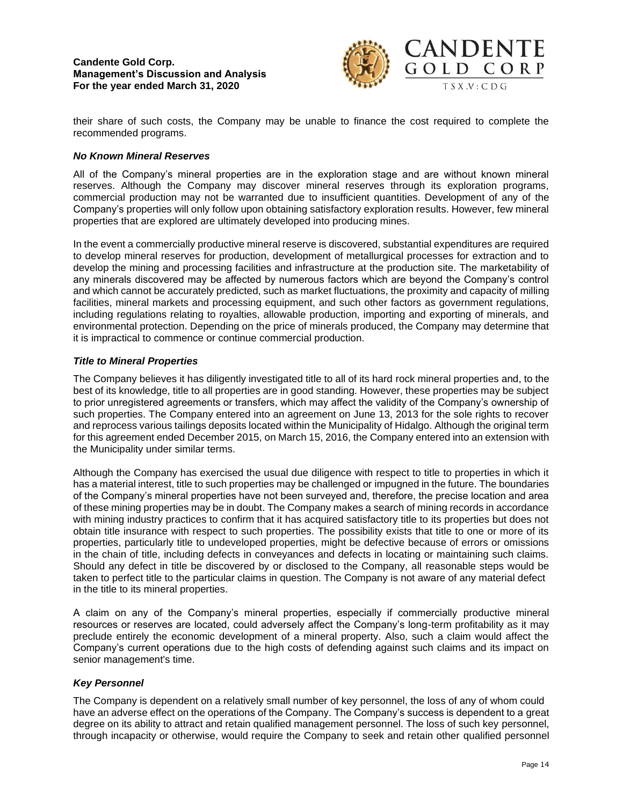

their share of such costs, the Company may be unable to finance the cost required to complete the recommended programs.

### *No Known Mineral Reserves*

All of the Company's mineral properties are in the exploration stage and are without known mineral reserves. Although the Company may discover mineral reserves through its exploration programs, commercial production may not be warranted due to insufficient quantities. Development of any of the Company's properties will only follow upon obtaining satisfactory exploration results. However, few mineral properties that are explored are ultimately developed into producing mines.

In the event a commercially productive mineral reserve is discovered, substantial expenditures are required to develop mineral reserves for production, development of metallurgical processes for extraction and to develop the mining and processing facilities and infrastructure at the production site. The marketability of any minerals discovered may be affected by numerous factors which are beyond the Company's control and which cannot be accurately predicted, such as market fluctuations, the proximity and capacity of milling facilities, mineral markets and processing equipment, and such other factors as government regulations, including regulations relating to royalties, allowable production, importing and exporting of minerals, and environmental protection. Depending on the price of minerals produced, the Company may determine that it is impractical to commence or continue commercial production.

## *Title to Mineral Properties*

The Company believes it has diligently investigated title to all of its hard rock mineral properties and, to the best of its knowledge, title to all properties are in good standing. However, these properties may be subject to prior unregistered agreements or transfers, which may affect the validity of the Company's ownership of such properties. The Company entered into an agreement on June 13, 2013 for the sole rights to recover and reprocess various tailings deposits located within the Municipality of Hidalgo. Although the original term for this agreement ended December 2015, on March 15, 2016, the Company entered into an extension with the Municipality under similar terms.

Although the Company has exercised the usual due diligence with respect to title to properties in which it has a material interest, title to such properties may be challenged or impugned in the future. The boundaries of the Company's mineral properties have not been surveyed and, therefore, the precise location and area of these mining properties may be in doubt. The Company makes a search of mining records in accordance with mining industry practices to confirm that it has acquired satisfactory title to its properties but does not obtain title insurance with respect to such properties. The possibility exists that title to one or more of its properties, particularly title to undeveloped properties, might be defective because of errors or omissions in the chain of title, including defects in conveyances and defects in locating or maintaining such claims. Should any defect in title be discovered by or disclosed to the Company, all reasonable steps would be taken to perfect title to the particular claims in question. The Company is not aware of any material defect in the title to its mineral properties.

A claim on any of the Company's mineral properties, especially if commercially productive mineral resources or reserves are located, could adversely affect the Company's long-term profitability as it may preclude entirely the economic development of a mineral property. Also, such a claim would affect the Company's current operations due to the high costs of defending against such claims and its impact on senior management's time.

### *Key Personnel*

The Company is dependent on a relatively small number of key personnel, the loss of any of whom could have an adverse effect on the operations of the Company. The Company's success is dependent to a great degree on its ability to attract and retain qualified management personnel. The loss of such key personnel, through incapacity or otherwise, would require the Company to seek and retain other qualified personnel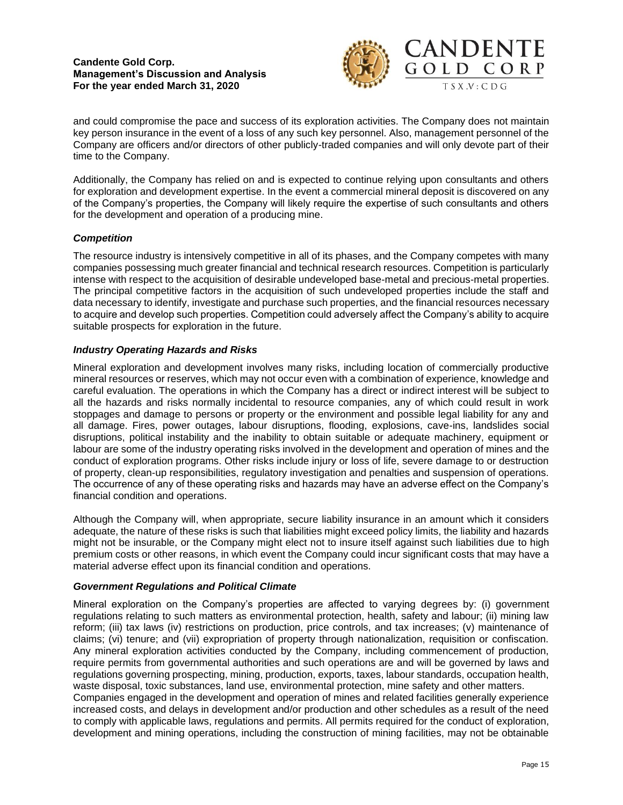

and could compromise the pace and success of its exploration activities. The Company does not maintain key person insurance in the event of a loss of any such key personnel. Also, management personnel of the Company are officers and/or directors of other publicly-traded companies and will only devote part of their time to the Company.

Additionally, the Company has relied on and is expected to continue relying upon consultants and others for exploration and development expertise. In the event a commercial mineral deposit is discovered on any of the Company's properties, the Company will likely require the expertise of such consultants and others for the development and operation of a producing mine.

# *Competition*

The resource industry is intensively competitive in all of its phases, and the Company competes with many companies possessing much greater financial and technical research resources. Competition is particularly intense with respect to the acquisition of desirable undeveloped base-metal and precious-metal properties. The principal competitive factors in the acquisition of such undeveloped properties include the staff and data necessary to identify, investigate and purchase such properties, and the financial resources necessary to acquire and develop such properties. Competition could adversely affect the Company's ability to acquire suitable prospects for exploration in the future.

## *Industry Operating Hazards and Risks*

Mineral exploration and development involves many risks, including location of commercially productive mineral resources or reserves, which may not occur even with a combination of experience, knowledge and careful evaluation. The operations in which the Company has a direct or indirect interest will be subject to all the hazards and risks normally incidental to resource companies, any of which could result in work stoppages and damage to persons or property or the environment and possible legal liability for any and all damage. Fires, power outages, labour disruptions, flooding, explosions, cave-ins, landslides social disruptions, political instability and the inability to obtain suitable or adequate machinery, equipment or labour are some of the industry operating risks involved in the development and operation of mines and the conduct of exploration programs. Other risks include injury or loss of life, severe damage to or destruction of property, clean-up responsibilities, regulatory investigation and penalties and suspension of operations. The occurrence of any of these operating risks and hazards may have an adverse effect on the Company's financial condition and operations.

Although the Company will, when appropriate, secure liability insurance in an amount which it considers adequate, the nature of these risks is such that liabilities might exceed policy limits, the liability and hazards might not be insurable, or the Company might elect not to insure itself against such liabilities due to high premium costs or other reasons, in which event the Company could incur significant costs that may have a material adverse effect upon its financial condition and operations.

## *Government Regulations and Political Climate*

Mineral exploration on the Company's properties are affected to varying degrees by: (i) government regulations relating to such matters as environmental protection, health, safety and labour; (ii) mining law reform; (iii) tax laws (iv) restrictions on production, price controls, and tax increases; (v) maintenance of claims; (vi) tenure; and (vii) expropriation of property through nationalization, requisition or confiscation. Any mineral exploration activities conducted by the Company, including commencement of production, require permits from governmental authorities and such operations are and will be governed by laws and regulations governing prospecting, mining, production, exports, taxes, labour standards, occupation health, waste disposal, toxic substances, land use, environmental protection, mine safety and other matters. Companies engaged in the development and operation of mines and related facilities generally experience increased costs, and delays in development and/or production and other schedules as a result of the need to comply with applicable laws, regulations and permits. All permits required for the conduct of exploration, development and mining operations, including the construction of mining facilities, may not be obtainable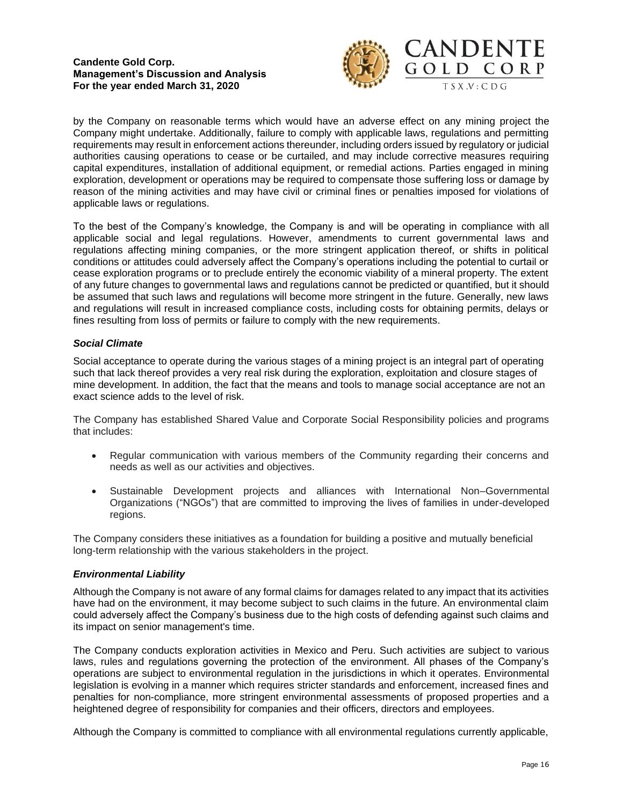

by the Company on reasonable terms which would have an adverse effect on any mining project the Company might undertake. Additionally, failure to comply with applicable laws, regulations and permitting requirements may result in enforcement actions thereunder, including orders issued by regulatory or judicial authorities causing operations to cease or be curtailed, and may include corrective measures requiring capital expenditures, installation of additional equipment, or remedial actions. Parties engaged in mining exploration, development or operations may be required to compensate those suffering loss or damage by reason of the mining activities and may have civil or criminal fines or penalties imposed for violations of applicable laws or regulations.

To the best of the Company's knowledge, the Company is and will be operating in compliance with all applicable social and legal regulations. However, amendments to current governmental laws and regulations affecting mining companies, or the more stringent application thereof, or shifts in political conditions or attitudes could adversely affect the Company's operations including the potential to curtail or cease exploration programs or to preclude entirely the economic viability of a mineral property. The extent of any future changes to governmental laws and regulations cannot be predicted or quantified, but it should be assumed that such laws and regulations will become more stringent in the future. Generally, new laws and regulations will result in increased compliance costs, including costs for obtaining permits, delays or fines resulting from loss of permits or failure to comply with the new requirements.

## *Social Climate*

Social acceptance to operate during the various stages of a mining project is an integral part of operating such that lack thereof provides a very real risk during the exploration, exploitation and closure stages of mine development. In addition, the fact that the means and tools to manage social acceptance are not an exact science adds to the level of risk.

The Company has established Shared Value and Corporate Social Responsibility policies and programs that includes:

- Regular communication with various members of the Community regarding their concerns and needs as well as our activities and objectives.
- Sustainable Development projects and alliances with International Non–Governmental Organizations ("NGOs") that are committed to improving the lives of families in under-developed regions.

The Company considers these initiatives as a foundation for building a positive and mutually beneficial long-term relationship with the various stakeholders in the project.

### *Environmental Liability*

Although the Company is not aware of any formal claims for damages related to any impact that its activities have had on the environment, it may become subject to such claims in the future. An environmental claim could adversely affect the Company's business due to the high costs of defending against such claims and its impact on senior management's time.

The Company conducts exploration activities in Mexico and Peru. Such activities are subject to various laws, rules and regulations governing the protection of the environment. All phases of the Company's operations are subject to environmental regulation in the jurisdictions in which it operates. Environmental legislation is evolving in a manner which requires stricter standards and enforcement, increased fines and penalties for non-compliance, more stringent environmental assessments of proposed properties and a heightened degree of responsibility for companies and their officers, directors and employees.

Although the Company is committed to compliance with all environmental regulations currently applicable,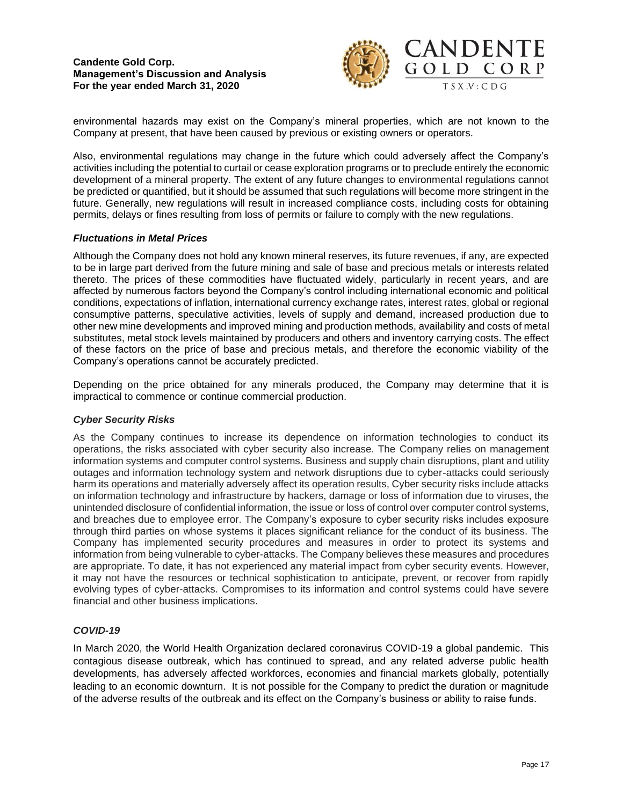

environmental hazards may exist on the Company's mineral properties, which are not known to the Company at present, that have been caused by previous or existing owners or operators.

Also, environmental regulations may change in the future which could adversely affect the Company's activities including the potential to curtail or cease exploration programs or to preclude entirely the economic development of a mineral property. The extent of any future changes to environmental regulations cannot be predicted or quantified, but it should be assumed that such regulations will become more stringent in the future. Generally, new regulations will result in increased compliance costs, including costs for obtaining permits, delays or fines resulting from loss of permits or failure to comply with the new regulations.

## *Fluctuations in Metal Prices*

Although the Company does not hold any known mineral reserves, its future revenues, if any, are expected to be in large part derived from the future mining and sale of base and precious metals or interests related thereto. The prices of these commodities have fluctuated widely, particularly in recent years, and are affected by numerous factors beyond the Company's control including international economic and political conditions, expectations of inflation, international currency exchange rates, interest rates, global or regional consumptive patterns, speculative activities, levels of supply and demand, increased production due to other new mine developments and improved mining and production methods, availability and costs of metal substitutes, metal stock levels maintained by producers and others and inventory carrying costs. The effect of these factors on the price of base and precious metals, and therefore the economic viability of the Company's operations cannot be accurately predicted.

Depending on the price obtained for any minerals produced, the Company may determine that it is impractical to commence or continue commercial production.

### *Cyber Security Risks*

As the Company continues to increase its dependence on information technologies to conduct its operations, the risks associated with cyber security also increase. The Company relies on management information systems and computer control systems. Business and supply chain disruptions, plant and utility outages and information technology system and network disruptions due to cyber-attacks could seriously harm its operations and materially adversely affect its operation results, Cyber security risks include attacks on information technology and infrastructure by hackers, damage or loss of information due to viruses, the unintended disclosure of confidential information, the issue or loss of control over computer control systems, and breaches due to employee error. The Company's exposure to cyber security risks includes exposure through third parties on whose systems it places significant reliance for the conduct of its business. The Company has implemented security procedures and measures in order to protect its systems and information from being vulnerable to cyber-attacks. The Company believes these measures and procedures are appropriate. To date, it has not experienced any material impact from cyber security events. However, it may not have the resources or technical sophistication to anticipate, prevent, or recover from rapidly evolving types of cyber-attacks. Compromises to its information and control systems could have severe financial and other business implications.

### *COVID-19*

In March 2020, the World Health Organization declared coronavirus COVID-19 a global pandemic. This contagious disease outbreak, which has continued to spread, and any related adverse public health developments, has adversely affected workforces, economies and financial markets globally, potentially leading to an economic downturn. It is not possible for the Company to predict the duration or magnitude of the adverse results of the outbreak and its effect on the Company's business or ability to raise funds.